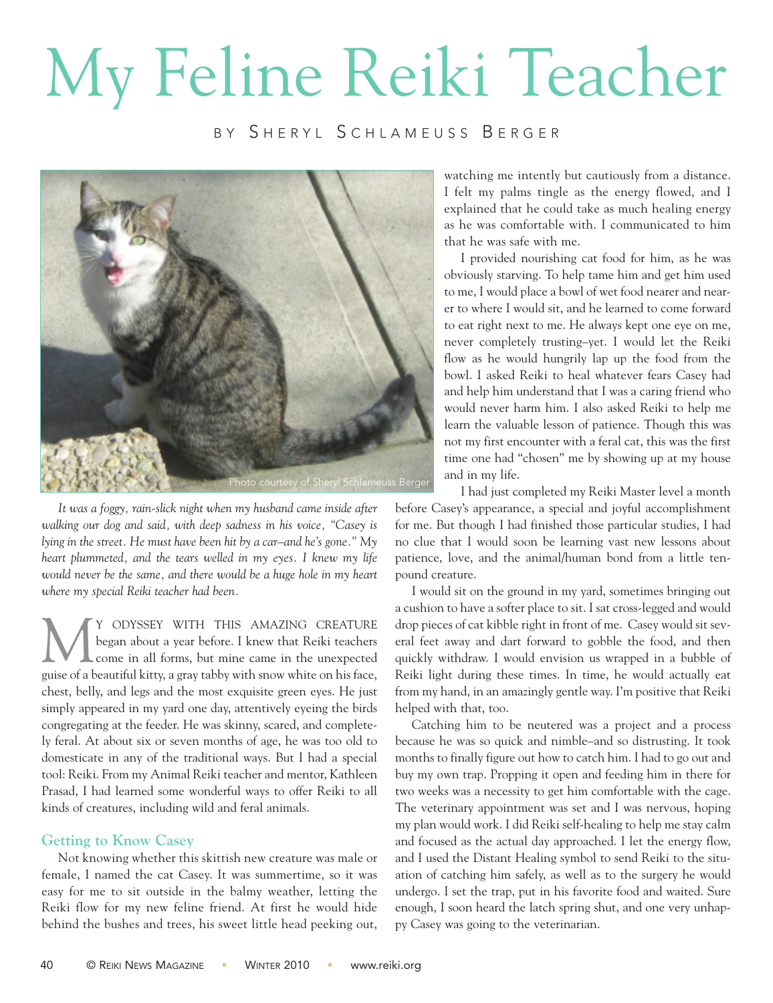## My Feline Reiki Teacher

BY SHERYL SCHLAMEUSS BERGER



*It was a foggy, rain-slick night when my husband came inside after walking our dog and said, with deep sadness in his voice, "Casey is lying in the street. He must have been hit by a car–and he's gone." My heart plummeted, and the tears welled in my eyes. I knew my life would never be the same, and there would be a huge hole in my heart where my special Reiki teacher had been.*

WITH THIS AMAZING CREATURE began about a year before. I knew that Reiki teachers<br>
come in all forms, but mine came in the unexpected began about a year before. I knew that Reiki teachers guise of a beautiful kitty, a gray tabby with snow white on his face, chest, belly, and legs and the most exquisite green eyes. He just simply appeared in my yard one day, attentively eyeing the birds congregating at the feeder. He was skinny, scared, and completely feral. At about six or seven months of age, he was too old to domesticate in any of the traditional ways. But I had a special tool: Reiki. From my Animal Reiki teacher and mentor, Kathleen Prasad, I had learned some wonderful ways to offer Reiki to all kinds of creatures, including wild and feral animals.

## **Getting to Know Casey**

Not knowing whether this skittish new creature was male or female, I named the cat Casey. It was summertime, so it was easy for me to sit outside in the balmy weather, letting the Reiki flow for my new feline friend. At first he would hide behind the bushes and trees, his sweet little head peeking out,

watching me intently but cautiously from a distance. I felt my palms tingle as the energy flowed, and I explained that he could take as much healing energy as he was comfortable with. I communicated to him that he was safe with me.

I provided nourishing cat food for him, as he was obviously starving. To help tame him and get him used to me, I would place a bowl of wet food nearer and nearer to where I would sit, and he learned to come forward to eat right next to me. He always kept one eye on me, never completely trusting–yet. I would let the Reiki flow as he would hungrily lap up the food from the bowl. I asked Reiki to heal whatever fears Casey had and help him understand that I was a caring friend who would never harm him. I also asked Reiki to help me learn the valuable lesson of patience. Though this was not my first encounter with a feral cat, this was the first time one had "chosen" me by showing up at my house and in my life.

I had just completed my Reiki Master level a month before Casey's appearance, a special and joyful accomplishment for me. But though I had finished those particular studies, I had no clue that I would soon be learning vast new lessons about patience, love, and the animal/human bond from a little tenpound creature.

I would sit on the ground in my yard, sometimes bringing out a cushion to have a softer place to sit. I sat cross-legged and would drop pieces of cat kibble right in front of me. Casey would sit several feet away and dart forward to gobble the food, and then quickly withdraw. I would envision us wrapped in a bubble of Reiki light during these times. In time, he would actually eat from my hand, in an amazingly gentle way. I'm positive that Reiki helped with that, too.

Catching him to be neutered was a project and a process because he was so quick and nimble–and so distrusting. It took months to finally figure out how to catch him. I had to go out and buy my own trap. Propping it open and feeding him in there for two weeks was a necessity to get him comfortable with the cage. The veterinary appointment was set and I was nervous, hoping my plan would work. I did Reiki self-healing to help me stay calm and focused as the actual day approached. I let the energy flow, and I used the Distant Healing symbol to send Reiki to the situation of catching him safely, as well as to the surgery he would undergo. I set the trap, put in his favorite food and waited. Sure enough, I soon heard the latch spring shut, and one very unhappy Casey was going to the veterinarian.